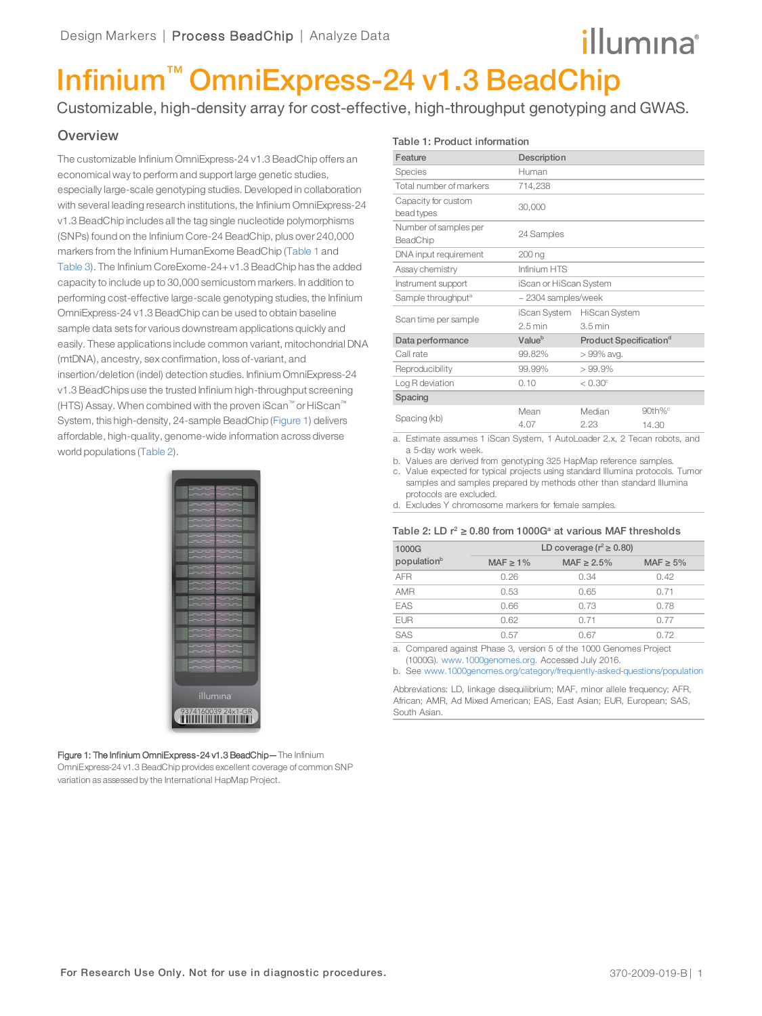# illumına

# Infinium™ OmniExpress-24 v1.3 BeadChip

Customizable, high-density array for cost-effective, high-throughput genotyping and GWAS.

## **Overview**

The customizable Infinium OmniExpress-24 v1.3 BeadChip offers an economical way to perform and support large genetic studies, especially large-scale genotyping studies. Developed in collaboration with several leading research institutions, the Infinium OmniExpress-24 v1.3 BeadChip includes all the tag single nucleotide polymorphisms (SNPs) found on the Infinium Core-24 BeadChip, plus over 240,000 markers from the Infinium HumanExome BeadChip ([Table 1](#page-0-0) and [Table 3](#page-1-0)). The Infinium CoreExome-24+v1.3 BeadChip has the added capacity to include up to 30,000 semicustom markers. In addition to performing cost-effective large-scale genotyping studies, the Infinium OmniExpress-24 v1.3 BeadChip can be used to obtain baseline sample data sets for various downstream applications quickly and easily. These applications include common variant, mitochondrial DNA (mtDNA), ancestry, sex confirmation, loss of-variant, and insertion/deletion (indel) detection studies. Infinium OmniExpress-24 v1.3 BeadChips use the trusted Infinium high-throughput screening (HTS) Assay. When combined with the proven iScan™ or HiScan™ System, this high-density, 24-sample BeadChip ([Figure 1\)](#page-0-1) delivers affordable, high-quality, genome-wide information across diverse world populations ([Table 2](#page-0-2)).

| illumına <sup>®</sup> |
|-----------------------|
|                       |
|                       |
|                       |
|                       |

<span id="page-0-1"></span>Figure 1: The Infinium OmniExpress-24 v1.3 BeadChip-The Infinium OmniExpress-24 v1.3 BeadChip provides excellent coverage of common SNP variation as assessed by the International HapMap Project.

<span id="page-0-0"></span>

| Table 1: Product information |  |
|------------------------------|--|
|------------------------------|--|

| Feature                           | Description              |                                    |            |
|-----------------------------------|--------------------------|------------------------------------|------------|
| Species                           | Human                    |                                    |            |
| Total number of markers           | 714,238                  |                                    |            |
| Capacity for custom<br>bead types | 30,000                   |                                    |            |
| Number of samples per<br>BeadChip | 24 Samples               |                                    |            |
| DNA input requirement             | 200 ng                   |                                    |            |
| Assay chemistry                   | Infinium HTS             |                                    |            |
| Instrument support                | iScan or HiScan System   |                                    |            |
| Sample throughput <sup>a</sup>    | $\sim$ 2304 samples/week |                                    |            |
|                                   |                          | iScan System HiScan System         |            |
| Scan time per sample              | $2.5$ min                | $3.5 \text{ min}$                  |            |
| Data performance                  | Value <sup>b</sup>       | Product Specification <sup>d</sup> |            |
| Call rate                         | 99.82%                   | > 99% avg.                         |            |
| Reproducibility                   | 99.99%                   | > 99.9%                            |            |
| Log R deviation                   | 0.10                     | $< 0.30^\circ$                     |            |
| Spacing                           |                          |                                    |            |
|                                   | Mean                     | Median                             | $90th\%$ ° |
| Spacing (kb)                      | 4.07                     | 2.23                               | 14.30      |

1 iScan System, 1 AutoLoader 2.x, 2 Tecan robots, and a 5-day work week.

b. Values are derived from genotyping 325 HapMap reference samples.

c. Value expected for typical projects using standard Illumina protocols. Tumor samples and samples prepared by methods other than standard Illumina protocols are excluded.

<span id="page-0-2"></span>d. Excludes Y chromosome markers for female samples.

#### Table 2: LD  $r^2 \geq 0.80$  from 1000G<sup>a</sup> at various MAF thresholds

| 1000G                   |               | LD coverage ( $r^2 \ge 0.80$ ) |                |
|-------------------------|---------------|--------------------------------|----------------|
| population <sup>b</sup> | $MAF \ge 1\%$ | MAF $\geq 2.5\%$               | MAF $\geq 5\%$ |
| <b>AFR</b>              | 0.26          | 0.34                           | 0.42           |
| <b>AMR</b>              | 0.53          | 0.65                           | 0.71           |
| EAS                     | 0.66          | 0.73                           | 0.78           |
| <b>EUR</b>              | 0.62          | 0.71                           | 0.77           |
| SAS                     | 0.57          | 0.67                           | 0.72           |
|                         |               |                                |                |

a. Compared against Phase 3, version 5 of the 1000 Genomes Project (1000G). www.1000genomes.org. Accessed July 2016.

b. See www.1000genomes.org/category/frequently-asked-questions/population

Abbreviations: LD, linkage disequilibrium; MAF, minor allele frequency; AFR, African; AMR, Ad Mixed American; EAS, East Asian; EUR, European; SAS, South Asian.